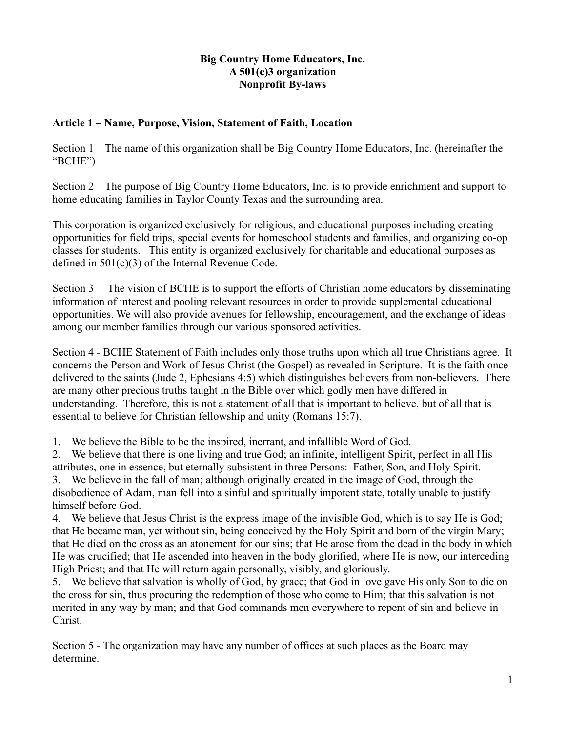### **Big Country Home Educators, Inc. A 501(c)3 organization Nonprofit By-laws**

### **Article 1 – Name, Purpose, Vision, Statement of Faith, Location**

Section 1 – The name of this organization shall be Big Country Home Educators, Inc. (hereinafter the "BCHE")

Section 2 – The purpose of Big Country Home Educators, Inc. is to provide enrichment and support to home educating families in Taylor County Texas and the surrounding area.

This corporation is organized exclusively for religious, and educational purposes including creating opportunities for field trips, special events for homeschool students and families, and organizing co-op classes for students. This entity is organized exclusively for charitable and educational purposes as defined in 501(c)(3) of the Internal Revenue Code.

Section 3 – The vision of BCHE is to support the efforts of Christian home educators by disseminating information of interest and pooling relevant resources in order to provide supplemental educational opportunities. We will also provide avenues for fellowship, encouragement, and the exchange of ideas among our member families through our various sponsored activities.

Section 4 - BCHE Statement of Faith includes only those truths upon which all true Christians agree. It concerns the Person and Work of Jesus Christ (the Gospel) as revealed in Scripture. It is the faith once delivered to the saints (Jude 2, Ephesians 4:5) which distinguishes believers from non-believers. There are many other precious truths taught in the Bible over which godly men have differed in understanding. Therefore, this is not a statement of all that is important to believe, but of all that is essential to believe for Christian fellowship and unity (Romans 15:7).

1. We believe the Bible to be the inspired, inerrant, and infallible Word of God.

2. We believe that there is one living and true God; an infinite, intelligent Spirit, perfect in all His attributes, one in essence, but eternally subsistent in three Persons: Father, Son, and Holy Spirit.

3. We believe in the fall of man; although originally created in the image of God, through the disobedience of Adam, man fell into a sinful and spiritually impotent state, totally unable to justify himself before God.

4. We believe that Jesus Christ is the express image of the invisible God, which is to say He is God; that He became man, yet without sin, being conceived by the Holy Spirit and born of the virgin Mary; that He died on the cross as an atonement for our sins; that He arose from the dead in the body in which He was crucified; that He ascended into heaven in the body glorified, where He is now, our interceding High Priest; and that He will return again personally, visibly, and gloriously.

5. We believe that salvation is wholly of God, by grace; that God in love gave His only Son to die on the cross for sin, thus procuring the redemption of those who come to Him; that this salvation is not merited in any way by man; and that God commands men everywhere to repent of sin and believe in Christ.

Section 5 - The organization may have any number of offices at such places as the Board may determine.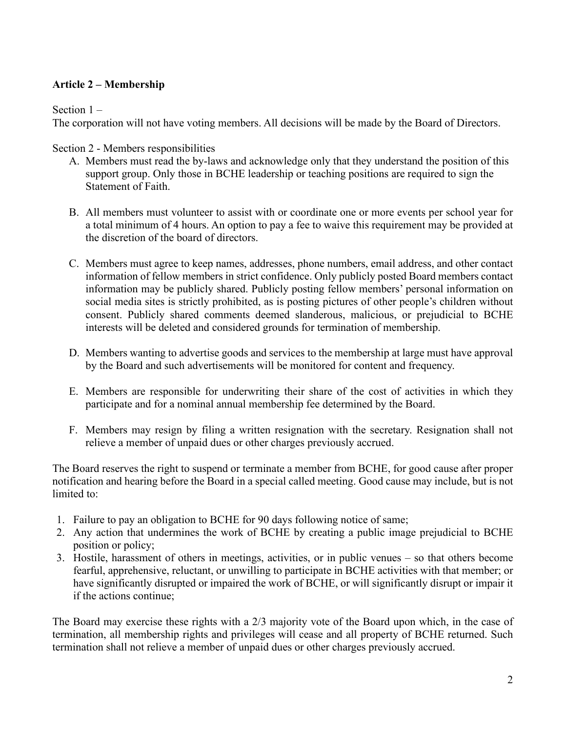### **Article 2 – Membership**

Section 1 –

The corporation will not have voting members. All decisions will be made by the Board of Directors.

Section 2 - Members responsibilities

- A. Members must read the by-laws and acknowledge only that they understand the position of this support group. Only those in BCHE leadership or teaching positions are required to sign the Statement of Faith.
- B. All members must volunteer to assist with or coordinate one or more events per school year for a total minimum of 4 hours. An option to pay a fee to waive this requirement may be provided at the discretion of the board of directors.
- C. Members must agree to keep names, addresses, phone numbers, email address, and other contact information of fellow members in strict confidence. Only publicly posted Board members contact information may be publicly shared. Publicly posting fellow members' personal information on social media sites is strictly prohibited, as is posting pictures of other people's children without consent. Publicly shared comments deemed slanderous, malicious, or prejudicial to BCHE interests will be deleted and considered grounds for termination of membership.
- D. Members wanting to advertise goods and services to the membership at large must have approval by the Board and such advertisements will be monitored for content and frequency.
- E. Members are responsible for underwriting their share of the cost of activities in which they participate and for a nominal annual membership fee determined by the Board.
- F. Members may resign by filing a written resignation with the secretary. Resignation shall not relieve a member of unpaid dues or other charges previously accrued.

The Board reserves the right to suspend or terminate a member from BCHE, for good cause after proper notification and hearing before the Board in a special called meeting. Good cause may include, but is not limited to:

- 1. Failure to pay an obligation to BCHE for 90 days following notice of same;
- 2. Any action that undermines the work of BCHE by creating a public image prejudicial to BCHE position or policy;
- 3. Hostile, harassment of others in meetings, activities, or in public venues so that others become fearful, apprehensive, reluctant, or unwilling to participate in BCHE activities with that member; or have significantly disrupted or impaired the work of BCHE, or will significantly disrupt or impair it if the actions continue;

The Board may exercise these rights with a 2/3 majority vote of the Board upon which, in the case of termination, all membership rights and privileges will cease and all property of BCHE returned. Such termination shall not relieve a member of unpaid dues or other charges previously accrued.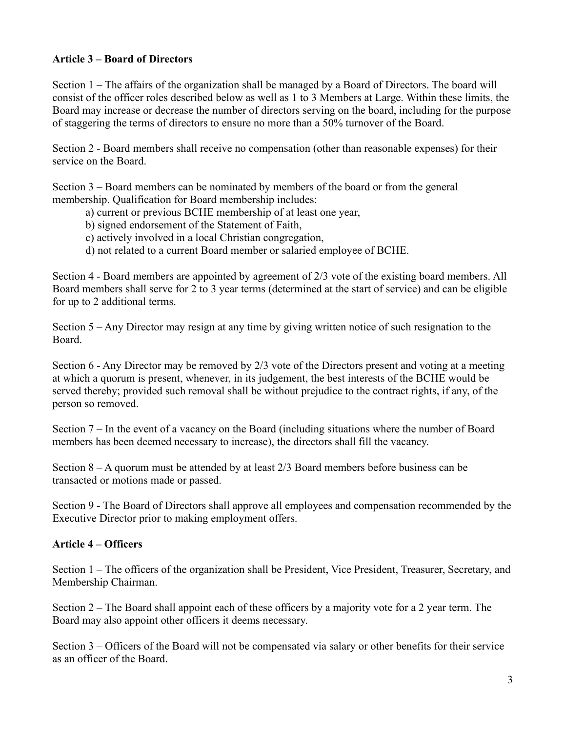### **Article 3 – Board of Directors**

Section 1 – The affairs of the organization shall be managed by a Board of Directors. The board will consist of the officer roles described below as well as 1 to 3 Members at Large. Within these limits, the Board may increase or decrease the number of directors serving on the board, including for the purpose of staggering the terms of directors to ensure no more than a 50% turnover of the Board.

Section 2 - Board members shall receive no compensation (other than reasonable expenses) for their service on the Board.

Section 3 – Board members can be nominated by members of the board or from the general membership. Qualification for Board membership includes:

- a) current or previous BCHE membership of at least one year,
- b) signed endorsement of the Statement of Faith,
- c) actively involved in a local Christian congregation,
- d) not related to a current Board member or salaried employee of BCHE.

Section 4 - Board members are appointed by agreement of 2/3 vote of the existing board members. All Board members shall serve for 2 to 3 year terms (determined at the start of service) and can be eligible for up to 2 additional terms.

Section 5 – Any Director may resign at any time by giving written notice of such resignation to the Board.

Section 6 - Any Director may be removed by 2/3 vote of the Directors present and voting at a meeting at which a quorum is present, whenever, in its judgement, the best interests of the BCHE would be served thereby; provided such removal shall be without prejudice to the contract rights, if any, of the person so removed.

Section 7 – In the event of a vacancy on the Board (including situations where the number of Board members has been deemed necessary to increase), the directors shall fill the vacancy.

Section 8 – A quorum must be attended by at least 2/3 Board members before business can be transacted or motions made or passed.

Section 9 - The Board of Directors shall approve all employees and compensation recommended by the Executive Director prior to making employment offers.

### **Article 4 – Officers**

Section 1 – The officers of the organization shall be President, Vice President, Treasurer, Secretary, and Membership Chairman.

Section 2 – The Board shall appoint each of these officers by a majority vote for a 2 year term. The Board may also appoint other officers it deems necessary.

Section 3 – Officers of the Board will not be compensated via salary or other benefits for their service as an officer of the Board.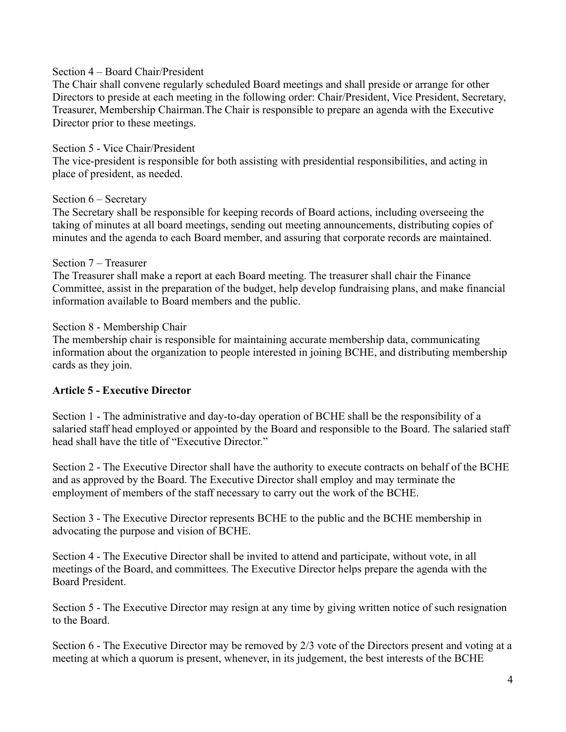#### Section 4 – Board Chair/President

The Chair shall convene regularly scheduled Board meetings and shall preside or arrange for other Directors to preside at each meeting in the following order: Chair/President, Vice President, Secretary, Treasurer, Membership Chairman.The Chair is responsible to prepare an agenda with the Executive Director prior to these meetings.

#### Section 5 - Vice Chair/President

The vice-president is responsible for both assisting with presidential responsibilities, and acting in place of president, as needed.

#### Section 6 – Secretary

The Secretary shall be responsible for keeping records of Board actions, including overseeing the taking of minutes at all board meetings, sending out meeting announcements, distributing copies of minutes and the agenda to each Board member, and assuring that corporate records are maintained.

#### Section 7 – Treasurer

The Treasurer shall make a report at each Board meeting. The treasurer shall chair the Finance Committee, assist in the preparation of the budget, help develop fundraising plans, and make financial information available to Board members and the public.

#### Section 8 - Membership Chair

The membership chair is responsible for maintaining accurate membership data, communicating information about the organization to people interested in joining BCHE, and distributing membership cards as they join.

### **Article 5 - Executive Director**

Section 1 - The administrative and day-to-day operation of BCHE shall be the responsibility of a salaried staff head employed or appointed by the Board and responsible to the Board. The salaried staff head shall have the title of "Executive Director."

Section 2 - The Executive Director shall have the authority to execute contracts on behalf of the BCHE and as approved by the Board. The Executive Director shall employ and may terminate the employment of members of the staff necessary to carry out the work of the BCHE.

Section 3 - The Executive Director represents BCHE to the public and the BCHE membership in advocating the purpose and vision of BCHE.

Section 4 - The Executive Director shall be invited to attend and participate, without vote, in all meetings of the Board, and committees. The Executive Director helps prepare the agenda with the Board President.

Section 5 - The Executive Director may resign at any time by giving written notice of such resignation to the Board.

Section 6 - The Executive Director may be removed by 2/3 vote of the Directors present and voting at a meeting at which a quorum is present, whenever, in its judgement, the best interests of the BCHE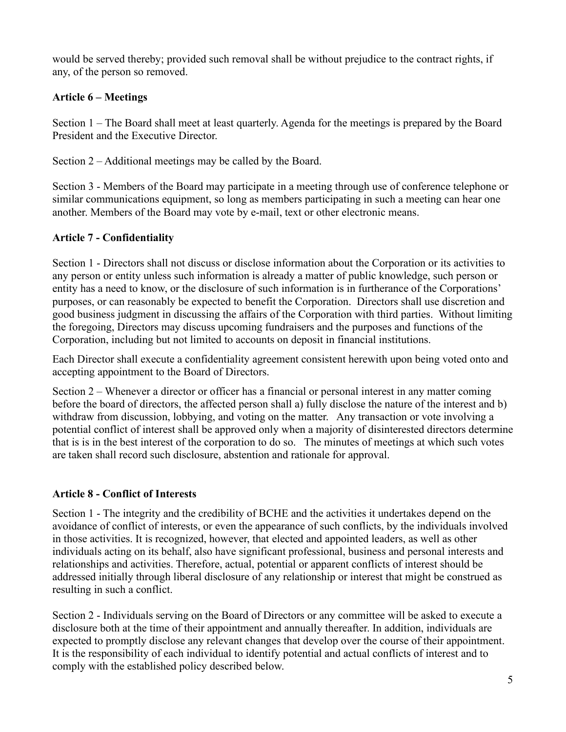would be served thereby; provided such removal shall be without prejudice to the contract rights, if any, of the person so removed.

# **Article 6 – Meetings**

Section 1 – The Board shall meet at least quarterly. Agenda for the meetings is prepared by the Board President and the Executive Director.

Section 2 – Additional meetings may be called by the Board.

Section 3 - Members of the Board may participate in a meeting through use of conference telephone or similar communications equipment, so long as members participating in such a meeting can hear one another. Members of the Board may vote by e-mail, text or other electronic means.

# **Article 7 - Confidentiality**

Section 1 - Directors shall not discuss or disclose information about the Corporation or its activities to any person or entity unless such information is already a matter of public knowledge, such person or entity has a need to know, or the disclosure of such information is in furtherance of the Corporations' purposes, or can reasonably be expected to benefit the Corporation. Directors shall use discretion and good business judgment in discussing the affairs of the Corporation with third parties. Without limiting the foregoing, Directors may discuss upcoming fundraisers and the purposes and functions of the Corporation, including but not limited to accounts on deposit in financial institutions.

Each Director shall execute a confidentiality agreement consistent herewith upon being voted onto and accepting appointment to the Board of Directors.

Section 2 – Whenever a director or officer has a financial or personal interest in any matter coming before the board of directors, the affected person shall a) fully disclose the nature of the interest and b) withdraw from discussion, lobbying, and voting on the matter. Any transaction or vote involving a potential conflict of interest shall be approved only when a majority of disinterested directors determine that is is in the best interest of the corporation to do so. The minutes of meetings at which such votes are taken shall record such disclosure, abstention and rationale for approval.

# **Article 8 - Conflict of Interests**

Section 1 - The integrity and the credibility of BCHE and the activities it undertakes depend on the avoidance of conflict of interests, or even the appearance of such conflicts, by the individuals involved in those activities. It is recognized, however, that elected and appointed leaders, as well as other individuals acting on its behalf, also have significant professional, business and personal interests and relationships and activities. Therefore, actual, potential or apparent conflicts of interest should be addressed initially through liberal disclosure of any relationship or interest that might be construed as resulting in such a conflict.

Section 2 - Individuals serving on the Board of Directors or any committee will be asked to execute a disclosure both at the time of their appointment and annually thereafter. In addition, individuals are expected to promptly disclose any relevant changes that develop over the course of their appointment. It is the responsibility of each individual to identify potential and actual conflicts of interest and to comply with the established policy described below.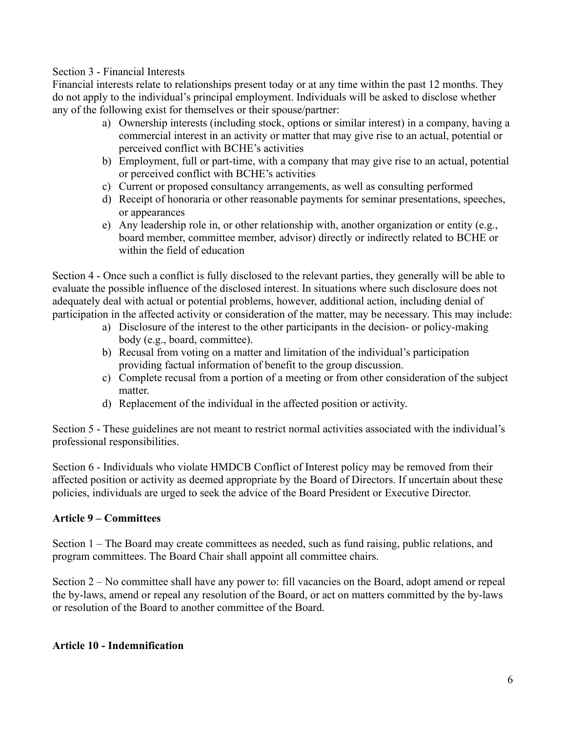#### Section 3 - Financial Interests

Financial interests relate to relationships present today or at any time within the past 12 months. They do not apply to the individual's principal employment. Individuals will be asked to disclose whether any of the following exist for themselves or their spouse/partner:

- a) Ownership interests (including stock, options or similar interest) in a company, having a commercial interest in an activity or matter that may give rise to an actual, potential or perceived conflict with BCHE's activities
- b) Employment, full or part-time, with a company that may give rise to an actual, potential or perceived conflict with BCHE's activities
- c) Current or proposed consultancy arrangements, as well as consulting performed
- d) Receipt of honoraria or other reasonable payments for seminar presentations, speeches, or appearances
- e) Any leadership role in, or other relationship with, another organization or entity (e.g., board member, committee member, advisor) directly or indirectly related to BCHE or within the field of education

Section 4 - Once such a conflict is fully disclosed to the relevant parties, they generally will be able to evaluate the possible influence of the disclosed interest. In situations where such disclosure does not adequately deal with actual or potential problems, however, additional action, including denial of participation in the affected activity or consideration of the matter, may be necessary. This may include:

- a) Disclosure of the interest to the other participants in the decision- or policy-making body (e.g., board, committee).
- b) Recusal from voting on a matter and limitation of the individual's participation providing factual information of benefit to the group discussion.
- c) Complete recusal from a portion of a meeting or from other consideration of the subject matter.
- d) Replacement of the individual in the affected position or activity.

Section 5 - These guidelines are not meant to restrict normal activities associated with the individual's professional responsibilities.

Section 6 - Individuals who violate HMDCB Conflict of Interest policy may be removed from their affected position or activity as deemed appropriate by the Board of Directors. If uncertain about these policies, individuals are urged to seek the advice of the Board President or Executive Director.

# **Article 9 – Committees**

Section 1 – The Board may create committees as needed, such as fund raising, public relations, and program committees. The Board Chair shall appoint all committee chairs.

Section 2 – No committee shall have any power to: fill vacancies on the Board, adopt amend or repeal the by-laws, amend or repeal any resolution of the Board, or act on matters committed by the by-laws or resolution of the Board to another committee of the Board.

### **Article 10 - Indemnification**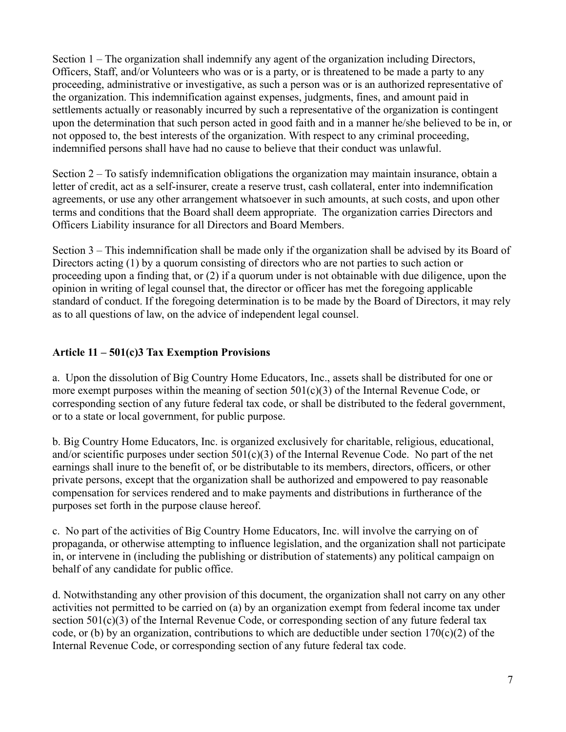Section 1 – The organization shall indemnify any agent of the organization including Directors, Officers, Staff, and/or Volunteers who was or is a party, or is threatened to be made a party to any proceeding, administrative or investigative, as such a person was or is an authorized representative of the organization. This indemnification against expenses, judgments, fines, and amount paid in settlements actually or reasonably incurred by such a representative of the organization is contingent upon the determination that such person acted in good faith and in a manner he/she believed to be in, or not opposed to, the best interests of the organization. With respect to any criminal proceeding, indemnified persons shall have had no cause to believe that their conduct was unlawful.

Section 2 – To satisfy indemnification obligations the organization may maintain insurance, obtain a letter of credit, act as a self-insurer, create a reserve trust, cash collateral, enter into indemnification agreements, or use any other arrangement whatsoever in such amounts, at such costs, and upon other terms and conditions that the Board shall deem appropriate. The organization carries Directors and Officers Liability insurance for all Directors and Board Members.

Section 3 – This indemnification shall be made only if the organization shall be advised by its Board of Directors acting (1) by a quorum consisting of directors who are not parties to such action or proceeding upon a finding that, or (2) if a quorum under is not obtainable with due diligence, upon the opinion in writing of legal counsel that, the director or officer has met the foregoing applicable standard of conduct. If the foregoing determination is to be made by the Board of Directors, it may rely as to all questions of law, on the advice of independent legal counsel.

# **Article 11 – 501(c)3 Tax Exemption Provisions**

a. Upon the dissolution of Big Country Home Educators, Inc., assets shall be distributed for one or more exempt purposes within the meaning of section  $501(c)(3)$  of the Internal Revenue Code, or corresponding section of any future federal tax code, or shall be distributed to the federal government, or to a state or local government, for public purpose.

b. Big Country Home Educators, Inc. is organized exclusively for charitable, religious, educational, and/or scientific purposes under section  $501(c)(3)$  of the Internal Revenue Code. No part of the net earnings shall inure to the benefit of, or be distributable to its members, directors, officers, or other private persons, except that the organization shall be authorized and empowered to pay reasonable compensation for services rendered and to make payments and distributions in furtherance of the purposes set forth in the purpose clause hereof.

c. No part of the activities of Big Country Home Educators, Inc. will involve the carrying on of propaganda, or otherwise attempting to influence legislation, and the organization shall not participate in, or intervene in (including the publishing or distribution of statements) any political campaign on behalf of any candidate for public office.

d. Notwithstanding any other provision of this document, the organization shall not carry on any other activities not permitted to be carried on (a) by an organization exempt from federal income tax under section 501(c)(3) of the Internal Revenue Code, or corresponding section of any future federal tax code, or (b) by an organization, contributions to which are deductible under section  $170(c)(2)$  of the Internal Revenue Code, or corresponding section of any future federal tax code.